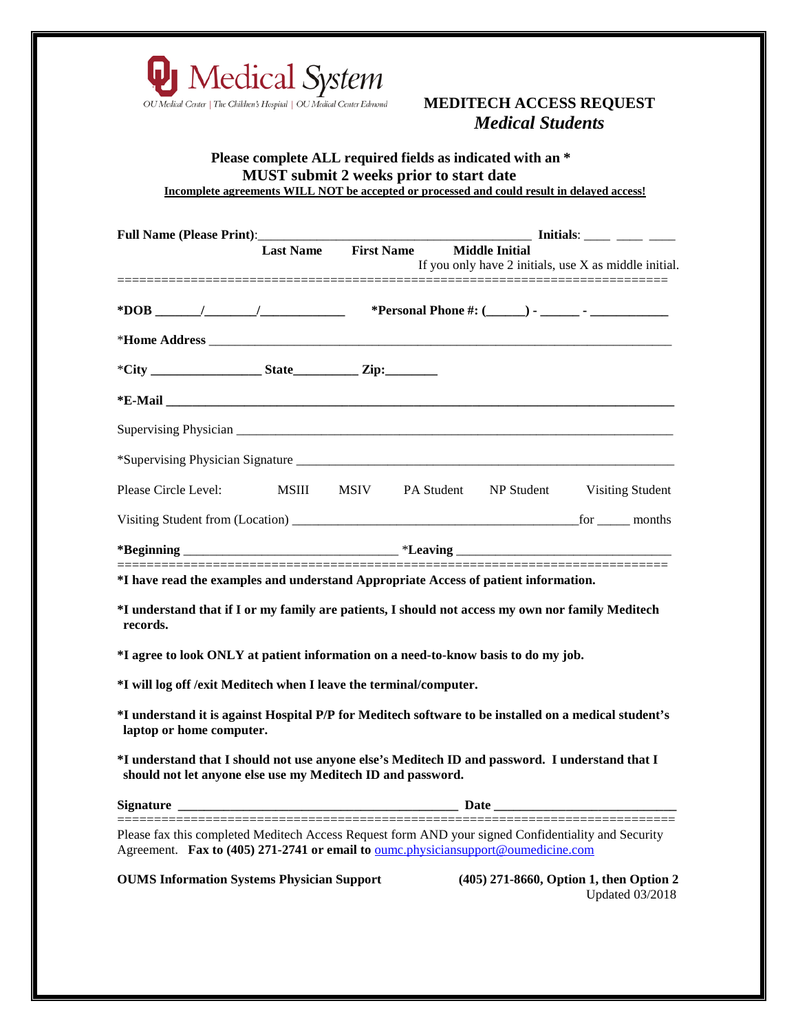

### **MEDITECH ACCESS REQUEST** *Medical Students*

#### **Please complete ALL required fields as indicated with an \* MUST submit 2 weeks prior to start date Incomplete agreements WILL NOT be accepted or processed and could result in delayed access!**

|                                                                                                                                                                                                 |                                   | $\frac{1}{\sqrt{1-\frac{1}{2}}}\frac{1}{\sqrt{1-\frac{1}{2}}}\frac{1}{\sqrt{1-\frac{1}{2}}}\frac{1}{\sqrt{1-\frac{1}{2}}}\frac{1}{\sqrt{1-\frac{1}{2}}}\frac{1}{\sqrt{1-\frac{1}{2}}}\frac{1}{\sqrt{1-\frac{1}{2}}}\frac{1}{\sqrt{1-\frac{1}{2}}}\frac{1}{\sqrt{1-\frac{1}{2}}}\frac{1}{\sqrt{1-\frac{1}{2}}}\frac{1}{\sqrt{1-\frac{1}{2}}}\frac{1}{\sqrt{1-\frac{1}{2}}}\frac{1}{\sqrt{1-\frac{1}{2}}}\frac{1}{\sqrt{1-\frac{$<br>Last Name First Name Middle Initial<br>If you only have 2 initials, use X as middle initial. |  |                                                                   |  |
|-------------------------------------------------------------------------------------------------------------------------------------------------------------------------------------------------|-----------------------------------|---------------------------------------------------------------------------------------------------------------------------------------------------------------------------------------------------------------------------------------------------------------------------------------------------------------------------------------------------------------------------------------------------------------------------------------------------------------------------------------------------------------------------------|--|-------------------------------------------------------------------|--|
| $*DOB$ / / /                                                                                                                                                                                    |                                   |                                                                                                                                                                                                                                                                                                                                                                                                                                                                                                                                 |  |                                                                   |  |
|                                                                                                                                                                                                 |                                   |                                                                                                                                                                                                                                                                                                                                                                                                                                                                                                                                 |  |                                                                   |  |
| $*City$ $Zip:$                                                                                                                                                                                  |                                   |                                                                                                                                                                                                                                                                                                                                                                                                                                                                                                                                 |  |                                                                   |  |
|                                                                                                                                                                                                 |                                   |                                                                                                                                                                                                                                                                                                                                                                                                                                                                                                                                 |  |                                                                   |  |
|                                                                                                                                                                                                 |                                   |                                                                                                                                                                                                                                                                                                                                                                                                                                                                                                                                 |  |                                                                   |  |
|                                                                                                                                                                                                 |                                   |                                                                                                                                                                                                                                                                                                                                                                                                                                                                                                                                 |  |                                                                   |  |
| Please Circle Level: MSIII MSIV PA Student NP Student Visiting Student                                                                                                                          |                                   |                                                                                                                                                                                                                                                                                                                                                                                                                                                                                                                                 |  |                                                                   |  |
|                                                                                                                                                                                                 |                                   |                                                                                                                                                                                                                                                                                                                                                                                                                                                                                                                                 |  |                                                                   |  |
|                                                                                                                                                                                                 |                                   |                                                                                                                                                                                                                                                                                                                                                                                                                                                                                                                                 |  |                                                                   |  |
| *I have read the examples and understand Appropriate Access of patient information.                                                                                                             |                                   |                                                                                                                                                                                                                                                                                                                                                                                                                                                                                                                                 |  |                                                                   |  |
| *I understand that if I or my family are patients, I should not access my own nor family Meditech<br>records.                                                                                   |                                   |                                                                                                                                                                                                                                                                                                                                                                                                                                                                                                                                 |  |                                                                   |  |
| *I agree to look ONLY at patient information on a need-to-know basis to do my job.                                                                                                              |                                   |                                                                                                                                                                                                                                                                                                                                                                                                                                                                                                                                 |  |                                                                   |  |
| *I will log off /exit Meditech when I leave the terminal/computer.                                                                                                                              |                                   |                                                                                                                                                                                                                                                                                                                                                                                                                                                                                                                                 |  |                                                                   |  |
| *I understand it is against Hospital P/P for Meditech software to be installed on a medical student's<br>laptop or home computer.                                                               |                                   |                                                                                                                                                                                                                                                                                                                                                                                                                                                                                                                                 |  |                                                                   |  |
| *I understand that I should not use anyone else's Meditech ID and password. I understand that I<br>should not let anyone else use my Meditech ID and password.                                  |                                   |                                                                                                                                                                                                                                                                                                                                                                                                                                                                                                                                 |  |                                                                   |  |
| <b>Signature</b>                                                                                                                                                                                | --------------------------------- | <b>Date</b>                                                                                                                                                                                                                                                                                                                                                                                                                                                                                                                     |  |                                                                   |  |
| Please fax this completed Meditech Access Request form AND your signed Confidentiality and Security<br>Agreement. Fax to (405) 271-2741 or email to <u>oumc.physiciansupport@oumedicine.com</u> |                                   |                                                                                                                                                                                                                                                                                                                                                                                                                                                                                                                                 |  |                                                                   |  |
| <b>OUMS Information Systems Physician Support</b>                                                                                                                                               |                                   |                                                                                                                                                                                                                                                                                                                                                                                                                                                                                                                                 |  | (405) 271-8660, Option 1, then Option 2<br><b>Updated 03/2018</b> |  |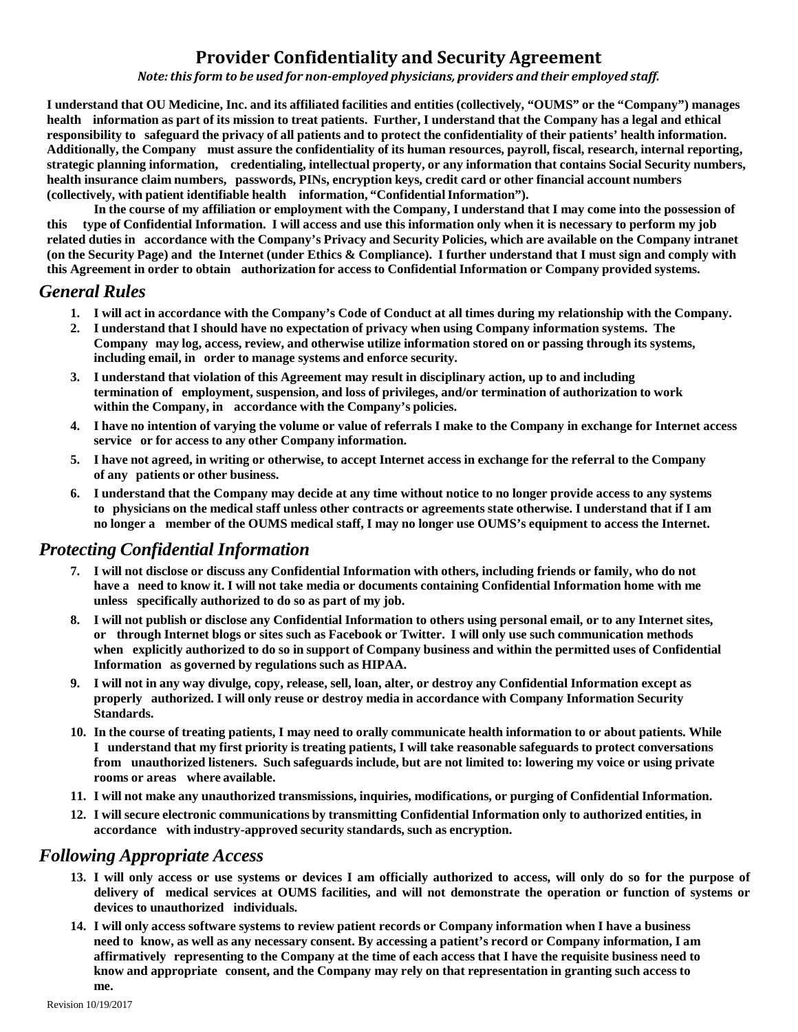# **Provider Confidentiality and Security Agreement**

*Note:this form to be used for non-employed physicians, providers and their employed staff.*

I understand that OU Medicine, Inc. and its affiliated facilities and entities (collectively, "OUMS" or the "Company") manages health information as part of its mission to treat patients. Further, I understand that the Company has a legal and ethical responsibility to safeguard the privacy of all patients and to protect the confidentiality of their patients' health information. Additionally, the Company must assure the confidentiality of its human resources, payroll, fiscal, research, internal reporting, strategic planning information, credentialing, intellectual property, or any information that contains Social Security numbers, **health insurance claim numbers, passwords, PINs, encryption keys, credit card or other financial account numbers (collectively, with patient identifiable health information, "ConfidentialInformation").**

In the course of my affiliation or employment with the Company, I understand that I may come into the possession of this type of Confidential Information. I will access and use this information only when it is necessary to perform my job related duties in accordance with the Company's Privacy and Security Policies, which are available on the Company intranet (on the Security Page) and the Internet (under Ethics & Compliance). I further understand that I must sign and comply with this Agreement in order to obtain authorization for access to Confidential Information or Company provided systems.

#### *General Rules*

- 1. I will act in accordance with the Company's Code of Conduct at all times during my relationship with the Company.
- **2. I understand that I should have no expectation of privacy when using Company information systems. The Company may log, access, review, and otherwise utilize information stored on or passing through its systems, including email, in order to manage systems and enforce security.**
- **3. I understand that violation of this Agreement may result in disciplinary action, up to and including termination of employment, suspension, and loss of privileges, and/or termination of authorization to work within the Company, in accordance with the Company's policies.**
- 4. I have no intention of varying the volume or value of referrals I make to the Company in exchange for Internet access **service or for access to any other Company information.**
- 5. I have not agreed, in writing or otherwise, to accept Internet access in exchange for the referral to the Company **of any patients or other business.**
- 6. I understand that the Company may decide at any time without notice to no longer provide access to any systems to physicians on the medical staff unless other contracts or agreements state otherwise. I understand that if I am no longer a member of the OUMS medical staff, I may no longer use OUMS's equipment to access the Internet.

#### *Protecting Confidential Information*

- 7. I will not disclose or discuss any Confidential Information with others, including friends or family, who do not have a need to know it. I will not take media or documents containing Confidential Information home with me **unless specifically authorized to do so as part of my job.**
- 8. I will not publish or disclose any Confidential Information to others using personal email, or to any Internet sites, or through Internet blogs or sites such as Facebook or Twitter. I will only use such communication methods when explicitly authorized to do so in support of Company business and within the permitted uses of Confidential **Information as governed by regulations such as HIPAA.**
- 9. I will not in any way divulge, copy, release, sell, loan, alter, or destroy any Confidential Information except as **properly authorized. I will only reuse or destroy media in accordance with Company Information Security Standards.**
- 10. In the course of treating patients, I may need to orally communicate health information to or about patients. While I understand that my first priority is treating patients, I will take reasonable safeguards to protect conversations from unauthorized listeners. Such safeguards include, but are not limited to: lowering my voice or using private **rooms or areas where available.**
- **11. I will not make any unauthorized transmissions, inquiries, modifications, or purging of Confidential Information.**
- **12. I will secure electronic communications by transmitting Confidential Information only to authorized entities, in accordance with industry-approved security standards, such as encryption.**

#### *Following Appropriate Access*

- 13. I will only access or use systems or devices I am officially authorized to access, will only do so for the purpose of delivery of medical services at OUMS facilities, and will not demonstrate the operation or function of systems or **devices to unauthorized individuals.**
- 14. I will only access software systems to review patient records or Company information when I have a business need to know, as well as any necessary consent. By accessing a patient's record or Company information, I am affirmatively representing to the Company at the time of each access that I have the requisite business need to **know and appropriate consent, and the Company may rely on that representation in granting such access to me.**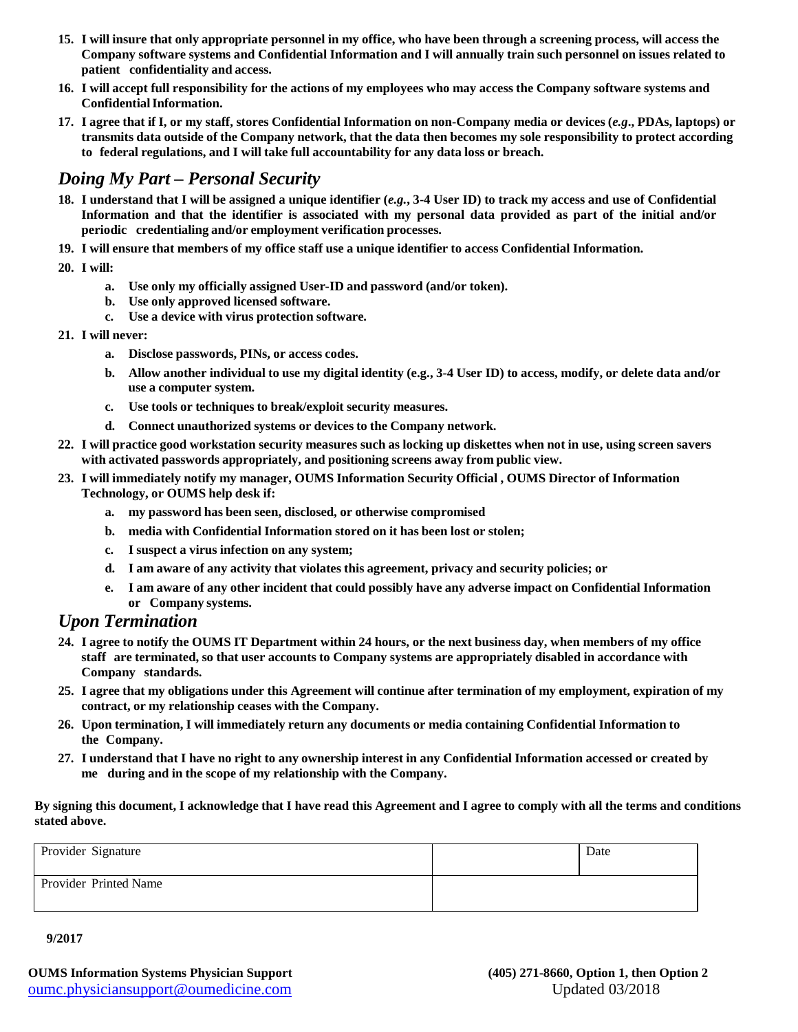- 15. I will insure that only appropriate personnel in my office, who have been through a screening process, will access the Company software systems and Confidential Information and I will annually train such personnel on issues related to **patient confidentiality and access.**
- 16. I will accept full responsibility for the actions of my employees who may access the Company software systems and **ConfidentialInformation.**
- 17. I agree that if I, or my staff, stores Confidential Information on non-Company media or devices (e.g., PDAs, laptops) or transmits data outside of the Company network, that the data then becomes my sole responsibility to protect according **to federal regulations, and I will take full accountability for any data loss or breach.**

## *Doing My Part – Personal Security*

- 18. I understand that I will be assigned a unique identifier  $(e.g., 3-4$  User ID) to track my access and use of Confidential Information and that the identifier is associated with my personal data provided as part of the initial and/or **periodic credentialing and/or employment verification processes.**
- 19. I will ensure that members of my office staff use a unique identifier to access Confidential Information.
- **20. I will:**
	- **a. Use only my officially assigned User-ID and password (and/or token).**
	- **b. Use only approved licensed software.**
	- **c. Use a device with virus protection software.**
- **21. I will never:**
	- **a. Disclose passwords, PINs, or access codes.**
	- b. Allow another individual to use my digital identity (e.g., 3-4 User ID) to access, modify, or delete data and/or **use a computer system.**
	- **c. Use tools or techniques to break/exploit security measures.**
	- **d. Connect unauthorized systems or devices to the Company network.**
- 22. I will practice good workstation security measures such as locking up diskettes when not in use, using screen savers **with activated passwords appropriately, and positioning screens away from public view.**
- **23. I will immediately notify my manager, OUMS Information Security Official , OUMS Director of Information Technology, or OUMS help desk if:**
	- **a. my password has been seen, disclosed, or otherwise compromised**
	- **b. media with Confidential Information stored on it has been lost or stolen;**
	- **c. I suspect a virus infection on any system;**
	- **d. I am aware of any activity that violates this agreement, privacy and security policies; or**
	- e. I am aware of any other incident that could possibly have any adverse impact on Confidential Information **or Company systems.**

#### *Upon Termination*

- 24. I agree to notify the OUMS IT Department within 24 hours, or the next business day, when members of my office **staff are terminated, so that user accounts to Company systems are appropriately disabled in accordance with Company standards.**
- 25. I agree that my obligations under this Agreement will continue after termination of my employment, expiration of my **contract, or my relationship ceases with the Company.**
- **26. Upon termination, I will immediately return any documents or media containing Confidential Information to the Company.**
- 27. I understand that I have no right to any ownership interest in any Confidential Information accessed or created by **me during and in the scope of my relationship with the Company.**

By signing this document, I acknowledge that I have read this Agreement and I agree to comply with all the terms and conditions **stated above.**

| Provider Signature    | Date |
|-----------------------|------|
| Provider Printed Name |      |

**9/2017**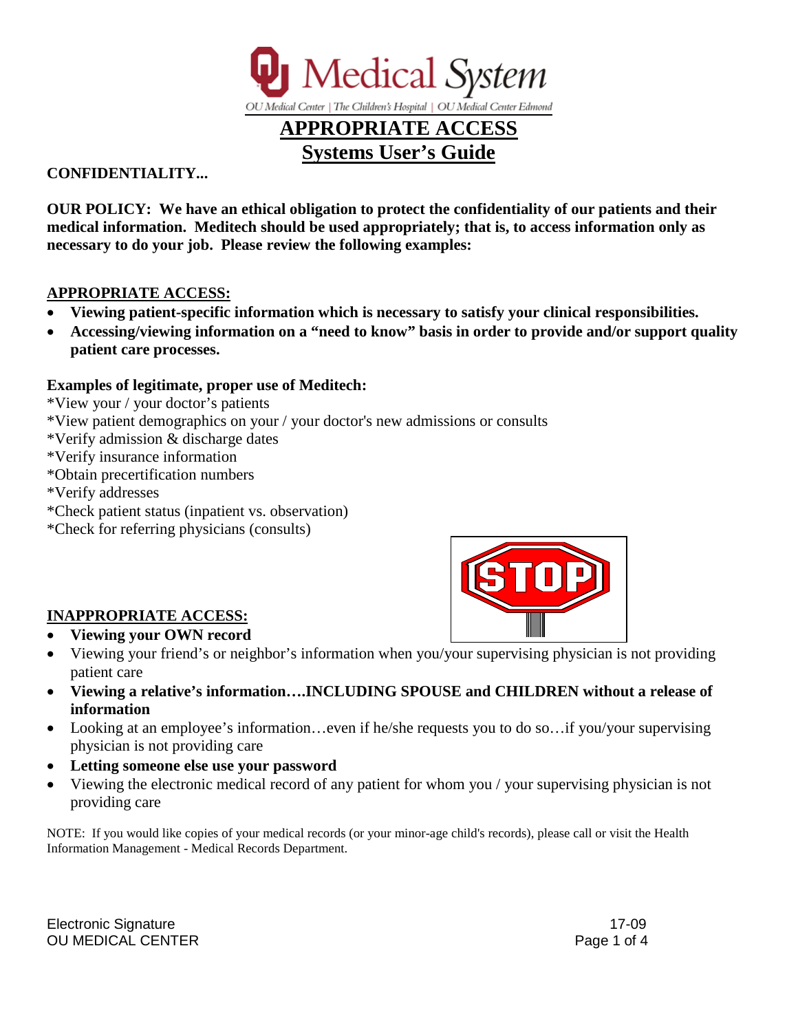

#### **CONFIDENTIALITY...**

**OUR POLICY: We have an ethical obligation to protect the confidentiality of our patients and their medical information. Meditech should be used appropriately; that is, to access information only as necessary to do your job. Please review the following examples:**

#### **APPROPRIATE ACCESS:**

- **Viewing patient-specific information which is necessary to satisfy your clinical responsibilities.**
- **Accessing/viewing information on a "need to know" basis in order to provide and/or support quality patient care processes.**

#### **Examples of legitimate, proper use of Meditech:**

\*View your / your doctor's patients

\*View patient demographics on your / your doctor's new admissions or consults

- \*Verify admission & discharge dates
- \*Verify insurance information
- \*Obtain precertification numbers
- \*Verify addresses
- \*Check patient status (inpatient vs. observation)
- \*Check for referring physicians (consults)



### **INAPPROPRIATE ACCESS:**

- **Viewing your OWN record**
- Viewing your friend's or neighbor's information when you/your supervising physician is not providing patient care
- **Viewing a relative's information….INCLUDING SPOUSE and CHILDREN without a release of information**
- Looking at an employee's information...even if he/she requests you to do so...if you/your supervising physician is not providing care
- **Letting someone else use your password**
- Viewing the electronic medical record of any patient for whom you / your supervising physician is not providing care

NOTE: If you would like copies of your medical records (or your minor-age child's records), please call or visit the Health Information Management - Medical Records Department.

Electronic Signature 17-09 OU MEDICAL CENTER **Page 1 of 4**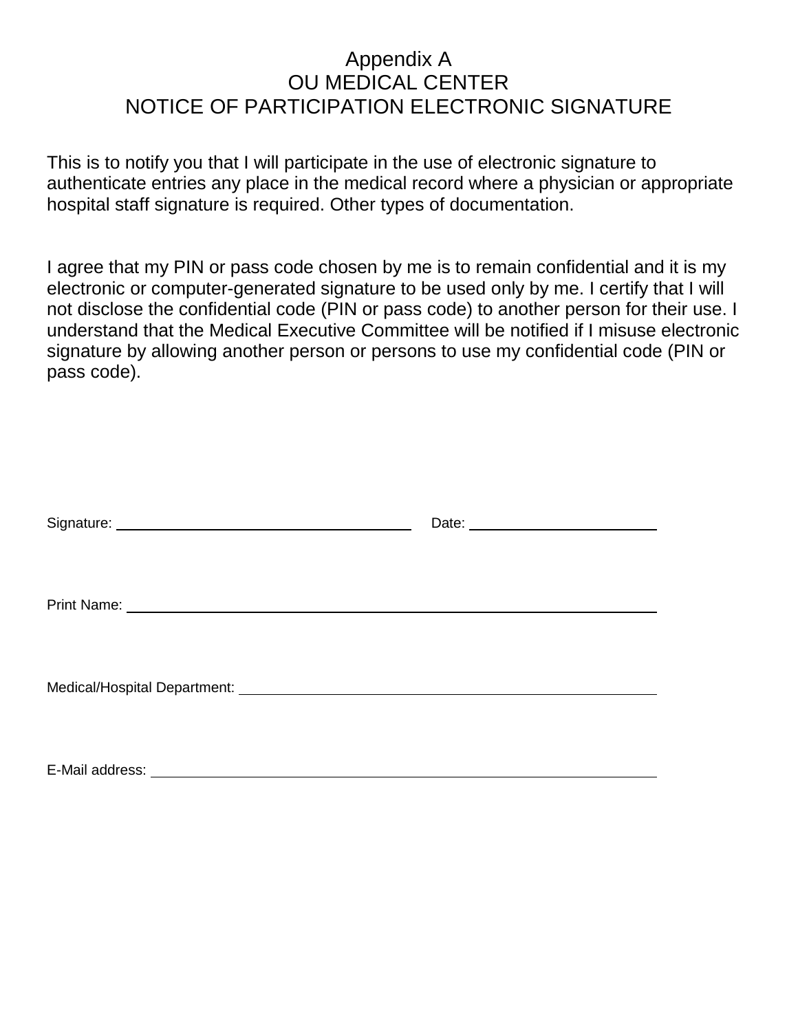# Appendix A OU MEDICAL CENTER NOTICE OF PARTICIPATION ELECTRONIC SIGNATURE

This is to notify you that I will participate in the use of electronic signature to authenticate entries any place in the medical record where a physician or appropriate hospital staff signature is required. Other types of documentation.

I agree that my PIN or pass code chosen by me is to remain confidential and it is my electronic or computer-generated signature to be used only by me. I certify that I will not disclose the confidential code (PIN or pass code) to another person for their use. I understand that the Medical Executive Committee will be notified if I misuse electronic signature by allowing another person or persons to use my confidential code (PIN or pass code).

| Date: <u>example</u> |
|----------------------|
|                      |
|                      |
|                      |
|                      |
|                      |
|                      |
|                      |
|                      |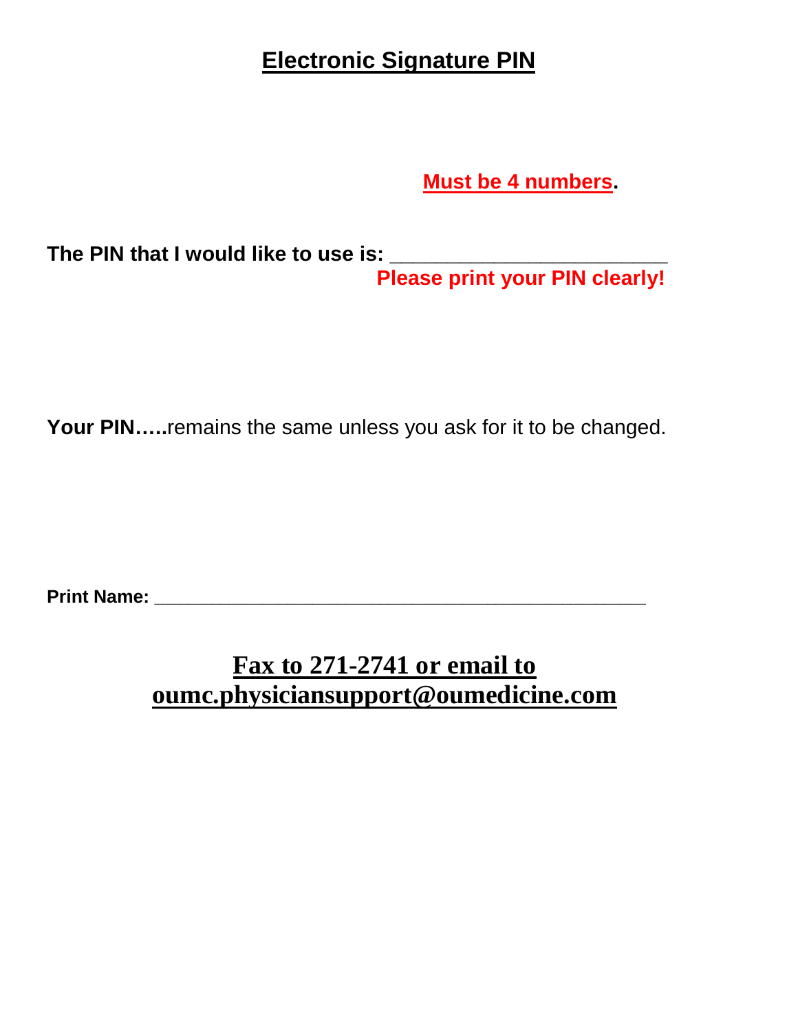# **Electronic Signature PIN**

 **Must be 4 numbers.** 

**The PIN that I would like to use is: \_\_\_\_\_\_\_\_\_\_\_\_\_\_\_\_\_\_\_\_\_\_\_\_ Please print your PIN clearly!** 

**Your PIN…..**remains the same unless you ask for it to be changed.

**Print Name: \_\_\_\_\_\_\_\_\_\_\_\_\_\_\_\_\_\_\_\_\_\_\_\_\_\_\_\_\_\_\_\_\_\_\_\_\_\_\_\_\_\_\_\_\_\_\_\_\_\_\_\_\_\_\_\_\_\_\_** 

# **Fax to 271-2741 or email to oumc.physiciansupport@oumedicine.com**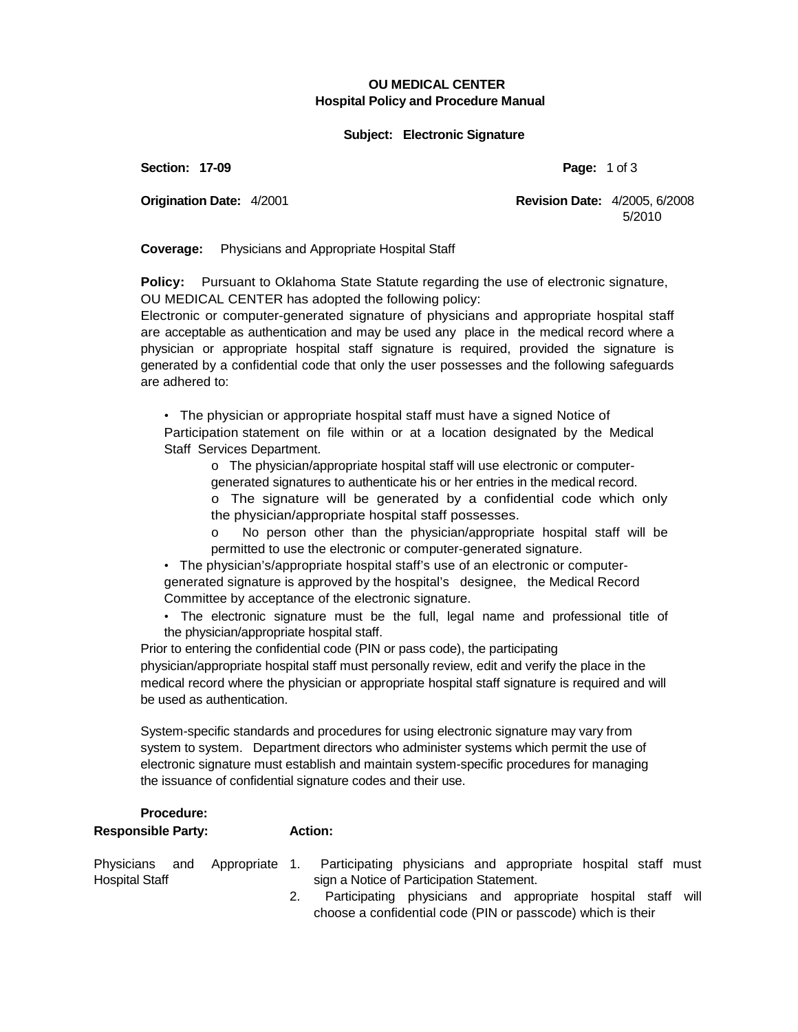#### **OU MEDICAL CENTER Hospital Policy and Procedure Manual**

#### **Subject: Electronic Signature**

**Section: 17-09 Page:** 1 of 3

**Origination Date:** 4/2001 **Revision Date:** 4/2005, 6/2008 5/2010

**Coverage:** Physicians and Appropriate Hospital Staff

**Policy:** Pursuant to Oklahoma State Statute regarding the use of electronic signature, OU MEDICAL CENTER has adopted the following policy:

Electronic or computer-generated signature of physicians and appropriate hospital staff are acceptable as authentication and may be used any place in the medical record where a physician or appropriate hospital staff signature is required, provided the signature is generated by a confidential code that only the user possesses and the following safeguards are adhered to:

• The physician or appropriate hospital staff must have a signed Notice of Participation statement on file within or at a location designated by the Medical Staff Services Department.

o The physician/appropriate hospital staff will use electronic or computergenerated signatures to authenticate his or her entries in the medical record.

- o The signature will be generated by a confidential code which only the physician/appropriate hospital staff possesses.
- No person other than the physician/appropriate hospital staff will be permitted to use the electronic or computer-generated signature.

• The physician's/appropriate hospital staff's use of an electronic or computergenerated signature is approved by the hospital's designee, the Medical Record Committee by acceptance of the electronic signature.

• The electronic signature must be the full, legal name and professional title of the physician/appropriate hospital staff.

Prior to entering the confidential code (PIN or pass code), the participating physician/appropriate hospital staff must personally review, edit and verify the place in the medical record where the physician or appropriate hospital staff signature is required and will be used as authentication.

System-specific standards and procedures for using electronic signature may vary from system to system. Department directors who administer systems which permit the use of electronic signature must establish and maintain system-specific procedures for managing the issuance of confidential signature codes and their use.

#### **Procedure: Responsible Party:**

Physicians and Appropriate 1. Hospital Staff **Action:** Participating physicians and appropriate hospital staff must sign a Notice of Participation Statement.

2. Participating physicians and appropriate hospital staff will choose a confidential code (PIN or passcode) which is their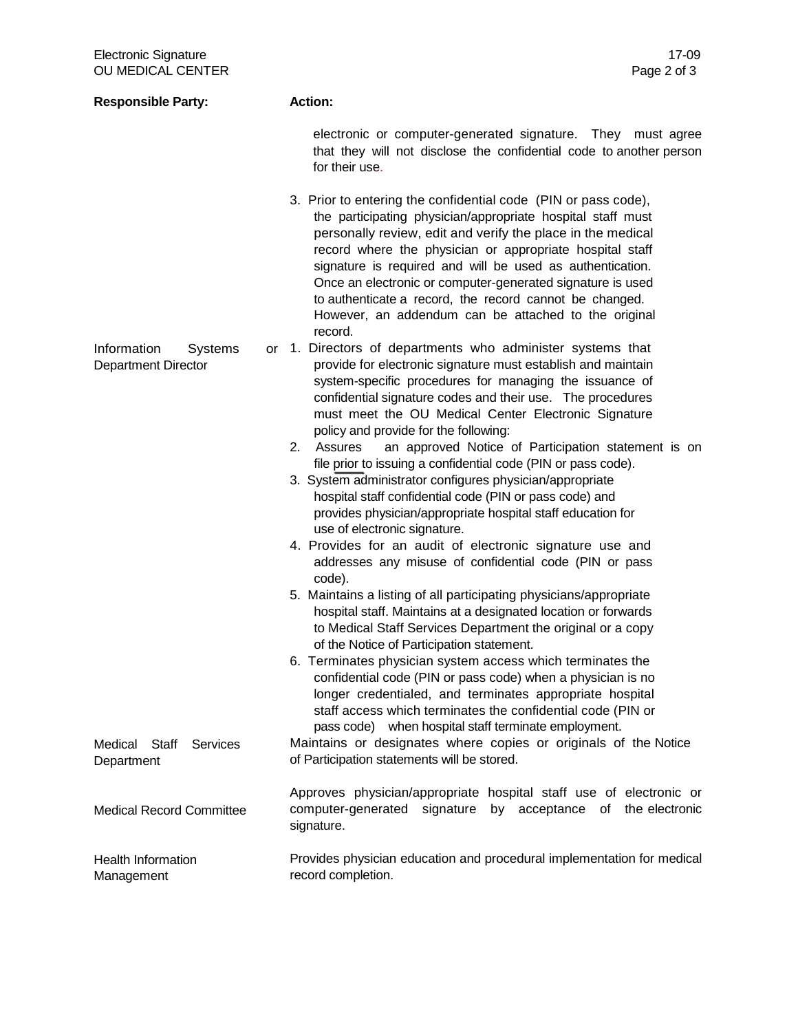| <b>Responsible Party:</b>                            | <b>Action:</b>                                                                                                                                                                                                                                                                                                                                                                                                                                                                                                    |  |  |
|------------------------------------------------------|-------------------------------------------------------------------------------------------------------------------------------------------------------------------------------------------------------------------------------------------------------------------------------------------------------------------------------------------------------------------------------------------------------------------------------------------------------------------------------------------------------------------|--|--|
|                                                      | electronic or computer-generated signature. They must agree<br>that they will not disclose the confidential code to another person<br>for their use.                                                                                                                                                                                                                                                                                                                                                              |  |  |
|                                                      | 3. Prior to entering the confidential code (PIN or pass code),<br>the participating physician/appropriate hospital staff must<br>personally review, edit and verify the place in the medical<br>record where the physician or appropriate hospital staff<br>signature is required and will be used as authentication.<br>Once an electronic or computer-generated signature is used<br>to authenticate a record, the record cannot be changed.<br>However, an addendum can be attached to the original<br>record. |  |  |
| Information<br>Systems<br><b>Department Director</b> | or 1. Directors of departments who administer systems that<br>provide for electronic signature must establish and maintain<br>system-specific procedures for managing the issuance of<br>confidential signature codes and their use. The procedures<br>must meet the OU Medical Center Electronic Signature<br>policy and provide for the following:                                                                                                                                                              |  |  |
|                                                      | an approved Notice of Participation statement is on<br>2.<br>Assures<br>file prior to issuing a confidential code (PIN or pass code).<br>3. System administrator configures physician/appropriate<br>hospital staff confidential code (PIN or pass code) and<br>provides physician/appropriate hospital staff education for<br>use of electronic signature.                                                                                                                                                       |  |  |
|                                                      | 4. Provides for an audit of electronic signature use and<br>addresses any misuse of confidential code (PIN or pass<br>code).                                                                                                                                                                                                                                                                                                                                                                                      |  |  |
|                                                      | 5. Maintains a listing of all participating physicians/appropriate<br>hospital staff. Maintains at a designated location or forwards<br>to Medical Staff Services Department the original or a copy<br>of the Notice of Participation statement.                                                                                                                                                                                                                                                                  |  |  |
|                                                      | 6. Terminates physician system access which terminates the<br>confidential code (PIN or pass code) when a physician is no<br>longer credentialed, and terminates appropriate hospital<br>staff access which terminates the confidential code (PIN or<br>pass code) when hospital staff terminate employment.                                                                                                                                                                                                      |  |  |
| Medical<br>Staff<br>Services<br>Department           | Maintains or designates where copies or originals of the Notice<br>of Participation statements will be stored.                                                                                                                                                                                                                                                                                                                                                                                                    |  |  |
| <b>Medical Record Committee</b>                      | Approves physician/appropriate hospital staff use of electronic or<br>computer-generated signature by acceptance of the electronic<br>signature.                                                                                                                                                                                                                                                                                                                                                                  |  |  |
| <b>Health Information</b><br>Management              | Provides physician education and procedural implementation for medical<br>record completion.                                                                                                                                                                                                                                                                                                                                                                                                                      |  |  |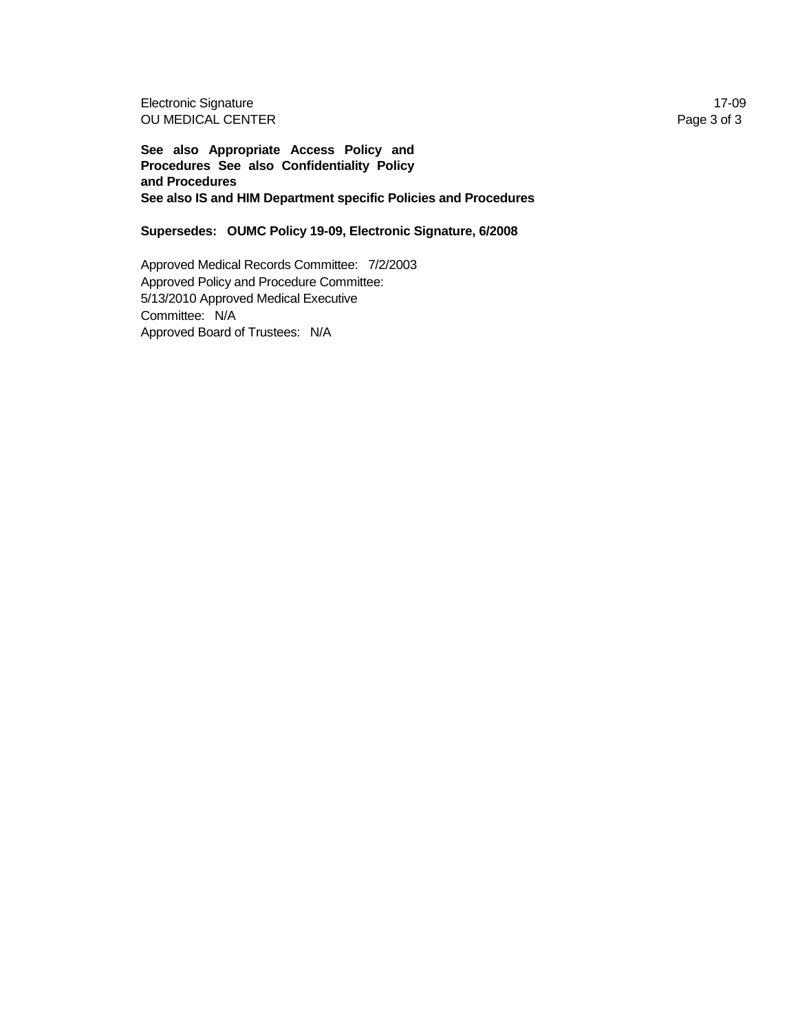Electronic Signature 17-09 OU MEDICAL CENTER Page 3 of 3

**See also Appropriate Access Policy and Procedures See also Confidentiality Policy and Procedures See also IS and HIM Department specific Policies and Procedures** 

**Supersedes: OUMC Policy 19-09, Electronic Signature, 6/2008** 

Approved Medical Records Committee: 7/2/2003 Approved Policy and Procedure Committee: 5/13/2010 Approved Medical Executive Committee: N/A Approved Board of Trustees: N/A